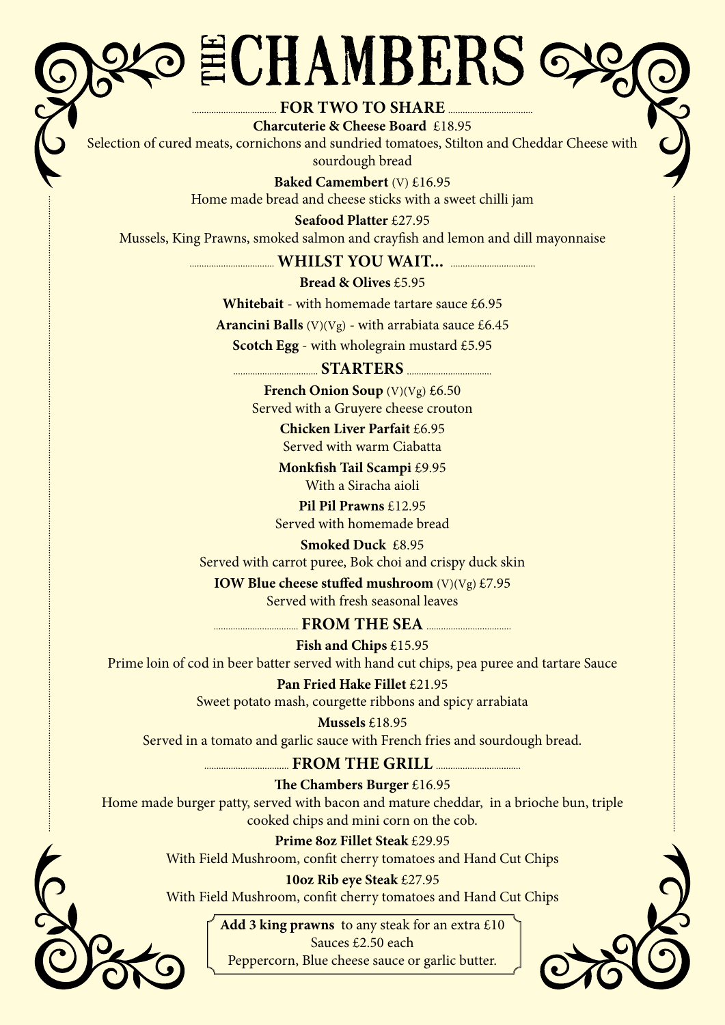## ECHAMBERS

### **FOR TWO TO SHARE**

**Charcuterie & Cheese Board** £18.95 Selection of cured meats, cornichons and sundried tomatoes, Stilton and Cheddar Cheese with sourdough bread

> **Baked Camembert** (V) £16.95 Home made bread and cheese sticks with a sweet chilli jam

**Seafood Platter** £27.95 Mussels, King Prawns, smoked salmon and crayfish and lemon and dill mayonnaise

 **WHILST YOU WAIT...** 

#### **Bread & Olives** £5.95

**Whitebait** - with homemade tartare sauce £6.95

**Arancini Balls** (V)(Vg) - with arrabiata sauce  $\text{\pounds}6.45$ 

**Scotch Egg** - with wholegrain mustard £5.95

#### **STARTERS**

**French Onion Soup** (V)(Vg) £6.50 Served with a Gruyere cheese crouton

> **Chicken Liver Parfait** £6.95 Served with warm Ciabatta

**Monkfish Tail Scampi** £9.95 With a Siracha aioli

**Pil Pil Prawns** £12.95 Served with homemade bread

#### **Smoked Duck** £8.95

Served with carrot puree, Bok choi and crispy duck skin

**IOW Blue cheese stuffed mushroom** (V)(Vg) £7.95 Served with fresh seasonal leaves

 **FROM THE SEA** 

**Fish and Chips** £15.95 Prime loin of cod in beer batter served with hand cut chips, pea puree and tartare Sauce

**Pan Fried Hake Fillet £21.95** 

Sweet potato mash, courgette ribbons and spicy arrabiata

**Mussels** £18.95 Served in a tomato and garlic sauce with French fries and sourdough bread.

 **FROM THE GRILL** 

**The Chambers Burger** £16.95 Home made burger patty, served with bacon and mature cheddar, in a brioche bun, triple cooked chips and mini corn on the cob.

> **Prime 8oz Fillet Steak** £29.95 With Field Mushroom, confit cherry tomatoes and Hand Cut Chips

> **10oz Rib eye Steak** £27.95 With Field Mushroom, confit cherry tomatoes and Hand Cut Chips

**Add 3 king prawns** to any steak for an extra £10 Sauces £2.50 each Peppercorn, Blue cheese sauce or garlic butter.